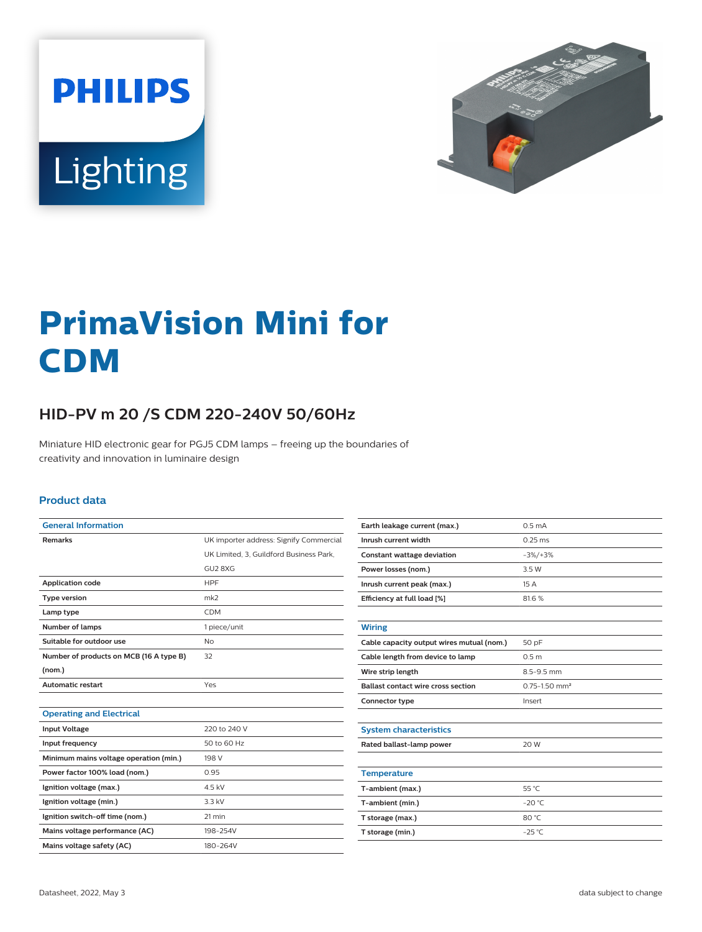



# **PrimaVision Mini for CDM**

## **HID-PV m 20 /S CDM 220-240V 50/60Hz**

Miniature HID electronic gear for PGJ5 CDM lamps – freeing up the boundaries of creativity and innovation in luminaire design

#### **Product data**

| <b>General Information</b>              |                                         |
|-----------------------------------------|-----------------------------------------|
| <b>Remarks</b>                          | UK importer address: Signify Commercial |
|                                         | UK Limited. 3. Guildford Business Park. |
|                                         | GU <sub>2</sub> 8XG                     |
| <b>Application code</b>                 | <b>HPF</b>                              |
| <b>Type version</b>                     | mk2                                     |
| Lamp type                               | <b>CDM</b>                              |
| Number of lamps                         | 1 piece/unit                            |
| Suitable for outdoor use                | No                                      |
| Number of products on MCB (16 A type B) | 32                                      |
| (nom.)                                  |                                         |
| <b>Automatic restart</b>                | Yes                                     |
|                                         |                                         |
| <b>Operating and Electrical</b>         |                                         |
| <b>Input Voltage</b>                    | 220 to 240 V                            |
| Input frequency                         | 50 to 60 Hz                             |
| Minimum mains voltage operation (min.)  | 198 V                                   |
| Power factor 100% load (nom.)           | 0.95                                    |
| Ignition voltage (max.)                 | 4.5 kV                                  |
| Ignition voltage (min.)                 | 3.3 kV                                  |
| Ignition switch-off time (nom.)         | 21 min                                  |
| Mains voltage performance (AC)          | 198-254V                                |
| Mains voltage safety (AC)               | 180-264V                                |

| Earth leakage current (max.)              | 0.5 <sub>m</sub> A            |
|-------------------------------------------|-------------------------------|
| Inrush current width                      | $0.25$ ms                     |
| <b>Constant wattage deviation</b>         | $-3\%/+3\%$                   |
| Power losses (nom.)                       | 3.5 W                         |
| Inrush current peak (max.)                | 15A                           |
| Efficiency at full load [%]               | 81.6%                         |
|                                           |                               |
| <b>Wiring</b>                             |                               |
| Cable capacity output wires mutual (nom.) | 50 pF                         |
| Cable length from device to lamp          | 0.5 <sub>m</sub>              |
| Wire strip length                         | 8.5-9.5 mm                    |
| <b>Ballast contact wire cross section</b> | $0.75 - 1.50$ mm <sup>2</sup> |
| Connector type                            | Insert                        |
|                                           |                               |
| <b>System characteristics</b>             |                               |
| Rated ballast-lamp power                  | 20 W                          |
|                                           |                               |
| <b>Temperature</b>                        |                               |
| T-ambient (max.)                          | 55 °C                         |
| T-ambient (min.)                          | $-20 °C$                      |
| T storage (max.)                          | 80 °C                         |
| T storage (min.)                          | $-25^{\circ}$ C               |
|                                           |                               |